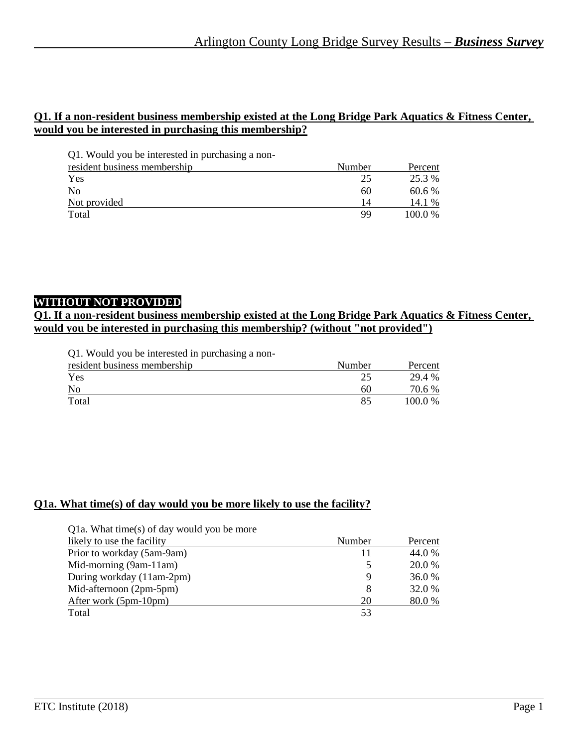# **Q1. If a non-resident business membership existed at the Long Bridge Park Aquatics & Fitness Center, would you be interested in purchasing this membership?**

|  |  |  |  |  | Q1. Would you be interested in purchasing a non- |  |
|--|--|--|--|--|--------------------------------------------------|--|
|--|--|--|--|--|--------------------------------------------------|--|

| resident business membership | Number | Percent |
|------------------------------|--------|---------|
| Yes                          | 25     | 25.3 %  |
| No                           | 60     | 60.6%   |
| Not provided                 | 14     | 14.1 %  |
| Total                        | QQ     | 100.0 % |

#### **WITHOUT NOT PROVIDED**

## **Q1. If a non-resident business membership existed at the Long Bridge Park Aquatics & Fitness Center, would you be interested in purchasing this membership? (without "not provided")**

|  |  | Q1. Would you be interested in purchasing a non- |  |
|--|--|--------------------------------------------------|--|
|  |  |                                                  |  |

| resident business membership | Number | Percent |
|------------------------------|--------|---------|
| Yes                          |        | 29.4 %  |
| N <sub>o</sub>               | 60     | 70.6 %  |
| Total                        |        | 100.0 % |

#### **Q1a. What time(s) of day would you be more likely to use the facility?**

| Q1a. What time(s) of day would you be more<br>likely to use the facility | Number | Percent |
|--------------------------------------------------------------------------|--------|---------|
|                                                                          |        |         |
| Prior to workday (5am-9am)                                               |        | 44.0 %  |
| Mid-morning (9am-11am)                                                   | 5      | 20.0 %  |
| During workday (11am-2pm)                                                | 9      | 36.0 %  |
| Mid-afternoon (2pm-5pm)                                                  | 8      | 32.0 %  |
| After work (5pm-10pm)                                                    | 20     | 80.0 %  |
| Total                                                                    | 53     |         |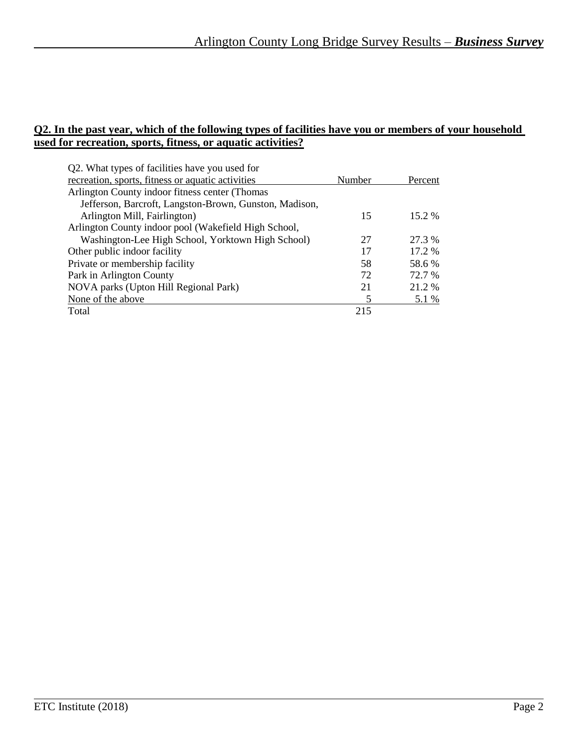#### **Q2. In the past year, which of the following types of facilities have you or members of your household used for recreation, sports, fitness, or aquatic activities?**

| Q2. What types of facilities have you used for         |        |          |
|--------------------------------------------------------|--------|----------|
| recreation, sports, fitness or aquatic activities      | Number | Percent  |
| Arlington County indoor fitness center (Thomas         |        |          |
| Jefferson, Barcroft, Langston-Brown, Gunston, Madison, |        |          |
| Arlington Mill, Fairlington)                           | 15     | $15.2\%$ |
| Arlington County indoor pool (Wakefield High School,   |        |          |
| Washington-Lee High School, Yorktown High School)      | 27     | 27.3 %   |
| Other public indoor facility                           | 17     | 17.2 %   |
| Private or membership facility                         | 58     | 58.6 %   |
| Park in Arlington County                               | 72     | 72.7 %   |
| NOVA parks (Upton Hill Regional Park)                  | 21     | 21.2 %   |
| None of the above                                      | 5      | 5.1 %    |
| Total                                                  | 215    |          |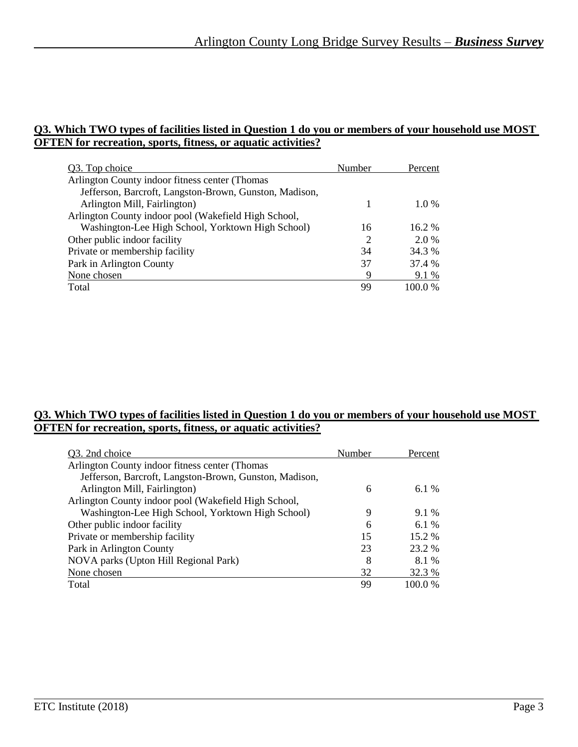#### **Q3. Which TWO types of facilities listed in Question 1 do you or members of your household use MOST OFTEN for recreation, sports, fitness, or aquatic activities?**

| Q3. Top choice                                         | Number | Percent   |
|--------------------------------------------------------|--------|-----------|
| Arlington County indoor fitness center (Thomas         |        |           |
| Jefferson, Barcroft, Langston-Brown, Gunston, Madison, |        |           |
| Arlington Mill, Fairlington)                           |        | $1.0\%$   |
| Arlington County indoor pool (Wakefield High School,   |        |           |
| Washington-Lee High School, Yorktown High School)      | 16     | $16.2\%$  |
| Other public indoor facility                           | 2      | $2.0\%$   |
| Private or membership facility                         | 34     | 34.3 %    |
| Park in Arlington County                               | 37     | 37.4 %    |
| None chosen                                            | 9      | 9.1 %     |
| Total                                                  | 99     | $100.0\%$ |

#### **Q3. Which TWO types of facilities listed in Question 1 do you or members of your household use MOST OFTEN for recreation, sports, fitness, or aquatic activities?**

| Q3. 2nd choice                                         | Number | Percent |
|--------------------------------------------------------|--------|---------|
| Arlington County indoor fitness center (Thomas         |        |         |
| Jefferson, Barcroft, Langston-Brown, Gunston, Madison, |        |         |
| Arlington Mill, Fairlington)                           | 6      | 6.1 \%  |
| Arlington County indoor pool (Wakefield High School,   |        |         |
| Washington-Lee High School, Yorktown High School)      | 9      | $9.1\%$ |
| Other public indoor facility                           | 6      | 6.1 \%  |
| Private or membership facility                         | 15     | 15.2 %  |
| Park in Arlington County                               | 23     | 23.2 %  |
| NOVA parks (Upton Hill Regional Park)                  | 8      | 8.1 %   |
| None chosen                                            | 32     | 32.3 %  |
| Total                                                  | 99     | 100.0%  |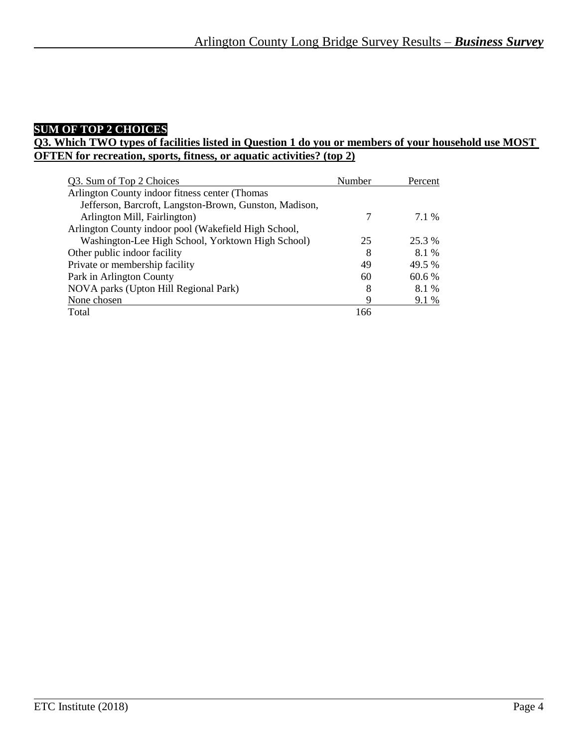# **SUM OF TOP 2 CHOICES**

# **Q3. Which TWO types of facilities listed in Question 1 do you or members of your household use MOST OFTEN for recreation, sports, fitness, or aquatic activities? (top 2)**

| Q3. Sum of Top 2 Choices                               | Number | Percent |
|--------------------------------------------------------|--------|---------|
| Arlington County indoor fitness center (Thomas         |        |         |
| Jefferson, Barcroft, Langston-Brown, Gunston, Madison, |        |         |
| Arlington Mill, Fairlington)                           | 7      | 7.1 %   |
| Arlington County indoor pool (Wakefield High School,   |        |         |
| Washington-Lee High School, Yorktown High School)      | 25     | 25.3 %  |
| Other public indoor facility                           | 8      | 8.1 %   |
| Private or membership facility                         | 49     | 49.5 %  |
| Park in Arlington County                               | 60     | 60.6%   |
| NOVA parks (Upton Hill Regional Park)                  | 8      | 8.1 %   |
| None chosen                                            | 9      | 9.1 %   |
| Total                                                  | 166    |         |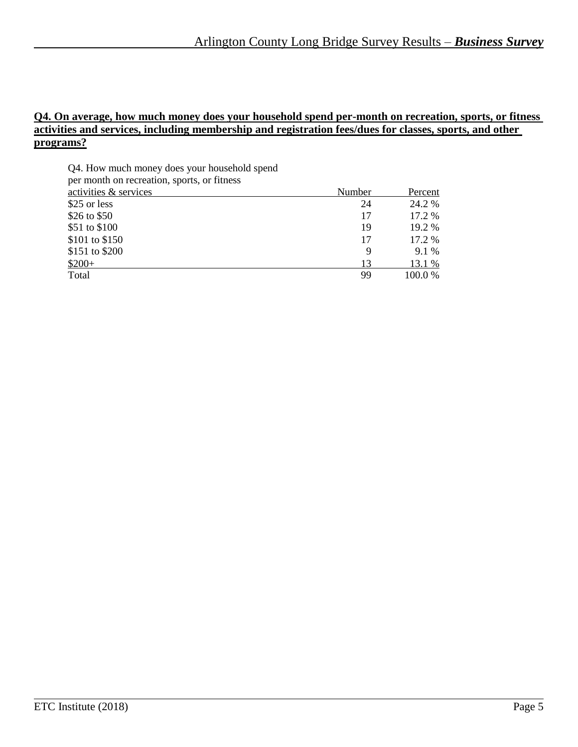## **Q4. On average, how much money does your household spend per-month on recreation, sports, or fitness activities and services, including membership and registration fees/dues for classes, sports, and other programs?**

|  |  | Q4. How much money does your household spend |  |
|--|--|----------------------------------------------|--|
|--|--|----------------------------------------------|--|

| per month on recreation, sports, or fitness |        |         |
|---------------------------------------------|--------|---------|
| activities & services                       | Number | Percent |
| \$25 or less                                | 24     | 24.2 %  |
| \$26 to $$50$                               | 17     | 17.2 %  |
| \$51 to \$100                               | 19     | 19.2 %  |
| \$101 to \$150                              | 17     | 17.2 %  |
| \$151 to \$200                              | 9      | 9.1 %   |
| $$200+$                                     | 13     | 13.1 %  |
| Total                                       | 99     | 100.0%  |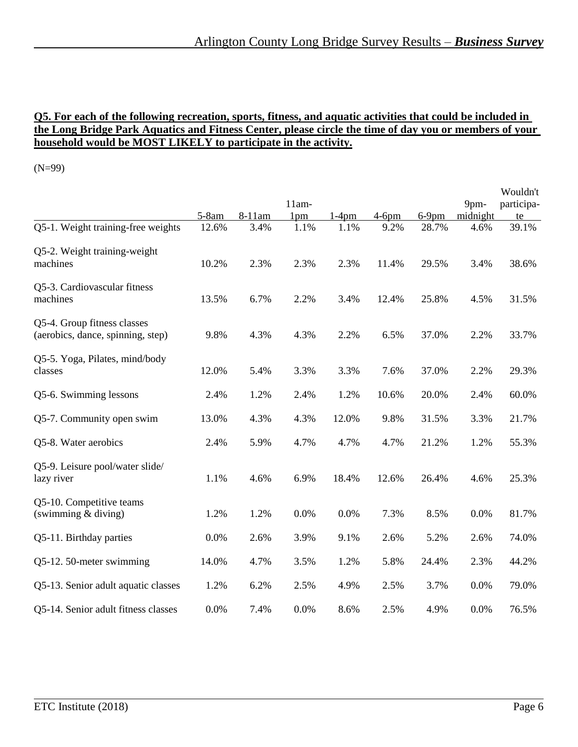## **Q5. For each of the following recreation, sports, fitness, and aquatic activities that could be included in the Long Bridge Park Aquatics and Fitness Center, please circle the time of day you or members of your household would be MOST LIKELY to participate in the activity.**

(N=99)

|                                                                  |         |        |                            |          |         |          |                  | Wouldn't    |
|------------------------------------------------------------------|---------|--------|----------------------------|----------|---------|----------|------------------|-------------|
|                                                                  | $5-8am$ | 8-11am | $11am-$<br>1 <sub>pm</sub> | $1-4$ pm | $4-6pm$ | $6-9$ pm | 9pm-<br>midnight | participa-  |
| Q5-1. Weight training-free weights                               | 12.6%   | 3.4%   | 1.1%                       | 1.1%     | 9.2%    | 28.7%    | 4.6%             | te<br>39.1% |
| Q5-2. Weight training-weight<br>machines                         | 10.2%   | 2.3%   | 2.3%                       | 2.3%     | 11.4%   | 29.5%    | 3.4%             | 38.6%       |
| Q5-3. Cardiovascular fitness<br>machines                         | 13.5%   | 6.7%   | 2.2%                       | 3.4%     | 12.4%   | 25.8%    | 4.5%             | 31.5%       |
| Q5-4. Group fitness classes<br>(aerobics, dance, spinning, step) | 9.8%    | 4.3%   | 4.3%                       | 2.2%     | 6.5%    | 37.0%    | 2.2%             | 33.7%       |
| Q5-5. Yoga, Pilates, mind/body<br>classes                        | 12.0%   | 5.4%   | 3.3%                       | 3.3%     | 7.6%    | 37.0%    | 2.2%             | 29.3%       |
| Q5-6. Swimming lessons                                           | 2.4%    | 1.2%   | 2.4%                       | 1.2%     | 10.6%   | 20.0%    | 2.4%             | 60.0%       |
| Q5-7. Community open swim                                        | 13.0%   | 4.3%   | 4.3%                       | 12.0%    | 9.8%    | 31.5%    | 3.3%             | 21.7%       |
| Q5-8. Water aerobics                                             | 2.4%    | 5.9%   | 4.7%                       | 4.7%     | 4.7%    | 21.2%    | 1.2%             | 55.3%       |
| Q5-9. Leisure pool/water slide/<br>lazy river                    | 1.1%    | 4.6%   | 6.9%                       | 18.4%    | 12.6%   | 26.4%    | 4.6%             | 25.3%       |
| Q5-10. Competitive teams<br>(swimming $&$ diving)                | 1.2%    | 1.2%   | 0.0%                       | 0.0%     | 7.3%    | 8.5%     | 0.0%             | 81.7%       |
| Q5-11. Birthday parties                                          | 0.0%    | 2.6%   | 3.9%                       | 9.1%     | 2.6%    | 5.2%     | 2.6%             | 74.0%       |
| Q5-12. 50-meter swimming                                         | 14.0%   | 4.7%   | 3.5%                       | 1.2%     | 5.8%    | 24.4%    | 2.3%             | 44.2%       |
| Q5-13. Senior adult aquatic classes                              | 1.2%    | 6.2%   | 2.5%                       | 4.9%     | 2.5%    | 3.7%     | 0.0%             | 79.0%       |
| Q5-14. Senior adult fitness classes                              | 0.0%    | 7.4%   | 0.0%                       | 8.6%     | 2.5%    | 4.9%     | 0.0%             | 76.5%       |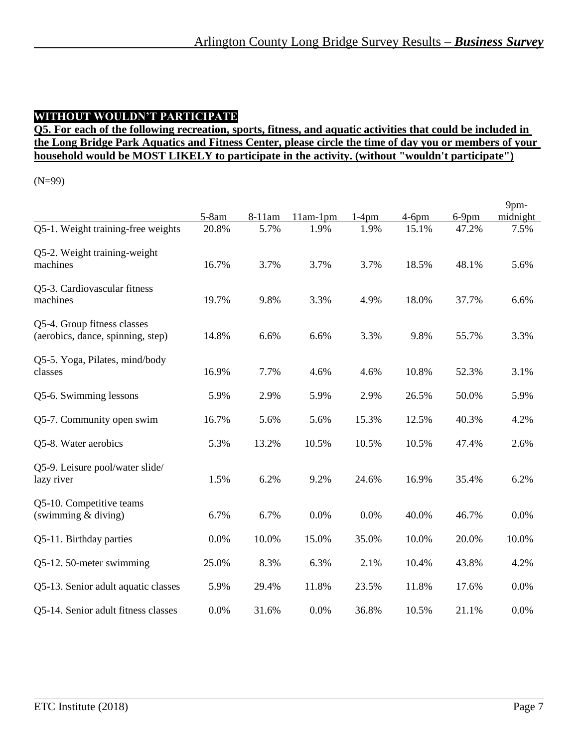# **WITHOUT WOULDN'T PARTICIPATE**

# **Q5. For each of the following recreation, sports, fitness, and aquatic activities that could be included in the Long Bridge Park Aquatics and Fitness Center, please circle the time of day you or members of your household would be MOST LIKELY to participate in the activity. (without "wouldn't participate")**

(N=99)

|                                                                  | $5-8am$ | 8-11am | $11am-1pm$ | $1-4pm$ | $4-6$ pm | $6-9$ pm | 9pm-<br>midnight |
|------------------------------------------------------------------|---------|--------|------------|---------|----------|----------|------------------|
| $Q$ 5-1. Weight training-free weights                            | 20.8%   | 5.7%   | 1.9%       | 1.9%    | 15.1%    | 47.2%    | 7.5%             |
| Q5-2. Weight training-weight<br>machines                         | 16.7%   | 3.7%   | 3.7%       | 3.7%    | 18.5%    | 48.1%    | 5.6%             |
| Q5-3. Cardiovascular fitness<br>machines                         | 19.7%   | 9.8%   | 3.3%       | 4.9%    | 18.0%    | 37.7%    | 6.6%             |
| Q5-4. Group fitness classes<br>(aerobics, dance, spinning, step) | 14.8%   | 6.6%   | 6.6%       | 3.3%    | 9.8%     | 55.7%    | 3.3%             |
| Q5-5. Yoga, Pilates, mind/body<br>classes                        | 16.9%   | 7.7%   | 4.6%       | 4.6%    | 10.8%    | 52.3%    | 3.1%             |
| Q5-6. Swimming lessons                                           | 5.9%    | 2.9%   | 5.9%       | 2.9%    | 26.5%    | 50.0%    | 5.9%             |
| Q5-7. Community open swim                                        | 16.7%   | 5.6%   | 5.6%       | 15.3%   | 12.5%    | 40.3%    | 4.2%             |
| Q5-8. Water aerobics                                             | 5.3%    | 13.2%  | 10.5%      | 10.5%   | 10.5%    | 47.4%    | 2.6%             |
| Q5-9. Leisure pool/water slide/<br>lazy river                    | 1.5%    | 6.2%   | 9.2%       | 24.6%   | 16.9%    | 35.4%    | 6.2%             |
| Q5-10. Competitive teams<br>(swimming $&$ diving)                | 6.7%    | 6.7%   | 0.0%       | 0.0%    | 40.0%    | 46.7%    | 0.0%             |
| Q5-11. Birthday parties                                          | 0.0%    | 10.0%  | 15.0%      | 35.0%   | 10.0%    | 20.0%    | 10.0%            |
| Q5-12. 50-meter swimming                                         | 25.0%   | 8.3%   | 6.3%       | 2.1%    | 10.4%    | 43.8%    | 4.2%             |
| Q5-13. Senior adult aquatic classes                              | 5.9%    | 29.4%  | 11.8%      | 23.5%   | 11.8%    | 17.6%    | 0.0%             |
| Q5-14. Senior adult fitness classes                              | 0.0%    | 31.6%  | 0.0%       | 36.8%   | 10.5%    | 21.1%    | 0.0%             |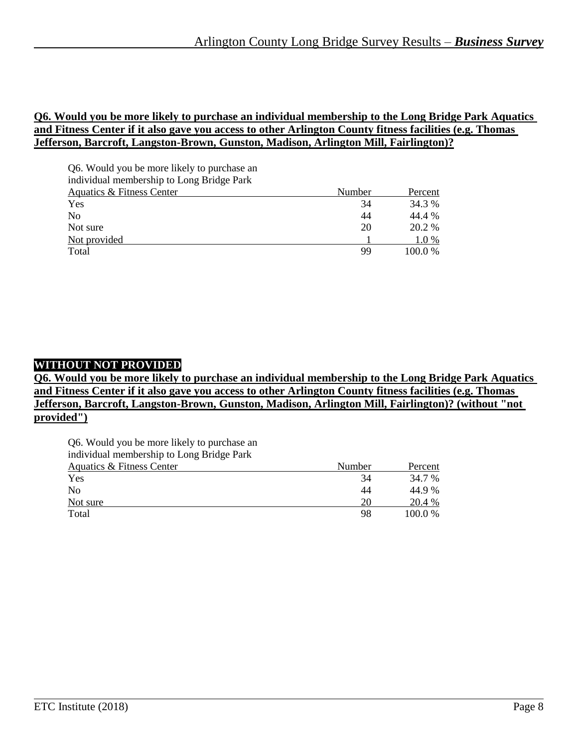#### **Q6. Would you be more likely to purchase an individual membership to the Long Bridge Park Aquatics and Fitness Center if it also gave you access to other Arlington County fitness facilities (e.g. Thomas Jefferson, Barcroft, Langston-Brown, Gunston, Madison, Arlington Mill, Fairlington)?**

| Q6. Would you be more likely to purchase an |        |         |
|---------------------------------------------|--------|---------|
| individual membership to Long Bridge Park   |        |         |
| Aquatics & Fitness Center                   | Number | Percent |
| Yes                                         | 34     | 34.3 %  |
| N <sub>0</sub>                              | 44     | 44.4 %  |
| Not sure                                    | 20     | 20.2 %  |
| Not provided                                |        | 1.0 %   |
| Total                                       | 99     | 100.0%  |

# **WITHOUT NOT PROVIDED**

**Q6. Would you be more likely to purchase an individual membership to the Long Bridge Park Aquatics and Fitness Center if it also gave you access to other Arlington County fitness facilities (e.g. Thomas Jefferson, Barcroft, Langston-Brown, Gunston, Madison, Arlington Mill, Fairlington)? (without "not provided")**

Q6. Would you be more likely to purchase an

individual membership to Long Bridge Park

| <b>Aquatics &amp; Fitness Center</b> | Number | Percent |
|--------------------------------------|--------|---------|
| Yes                                  | 34     | 34.7 %  |
| N <sub>o</sub>                       | 44     | 44.9 %  |
| Not sure                             | 20     | 20.4 %  |
| Total                                | 98     | 100.0 % |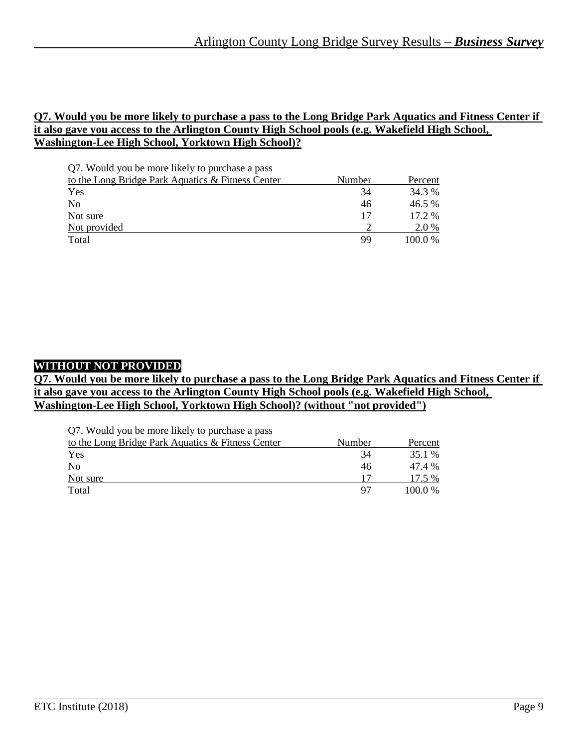#### **Q7. Would you be more likely to purchase a pass to the Long Bridge Park Aquatics and Fitness Center if it also gave you access to the Arlington County High School pools (e.g. Wakefield High School, Washington-Lee High School, Yorktown High School)?**

Q7. Would you be more likely to purchase a pass

| to the Long Bridge Park Aquatics & Fitness Center | Number | Percent |
|---------------------------------------------------|--------|---------|
| Yes                                               | 34     | 34.3 %  |
| N <sub>0</sub>                                    | 46     | 46.5 %  |
| Not sure                                          |        | 17.2 %  |
| Not provided                                      |        | 2.0 %   |
| Total                                             | 99     | 100.0 % |

# **WITHOUT NOT PROVIDED**

#### **Q7. Would you be more likely to purchase a pass to the Long Bridge Park Aquatics and Fitness Center if it also gave you access to the Arlington County High School pools (e.g. Wakefield High School, Washington-Lee High School, Yorktown High School)? (without "not provided")**

Q7. Would you be more likely to purchase a pass

| to the Long Bridge Park Aquatics & Fitness Center | Number | Percent   |
|---------------------------------------------------|--------|-----------|
| Yes                                               | 34     | 35.1 %    |
| <b>No</b>                                         | 46     | 47.4 %    |
| Not sure                                          |        | 17.5 %    |
| Total                                             | 97     | $100.0\%$ |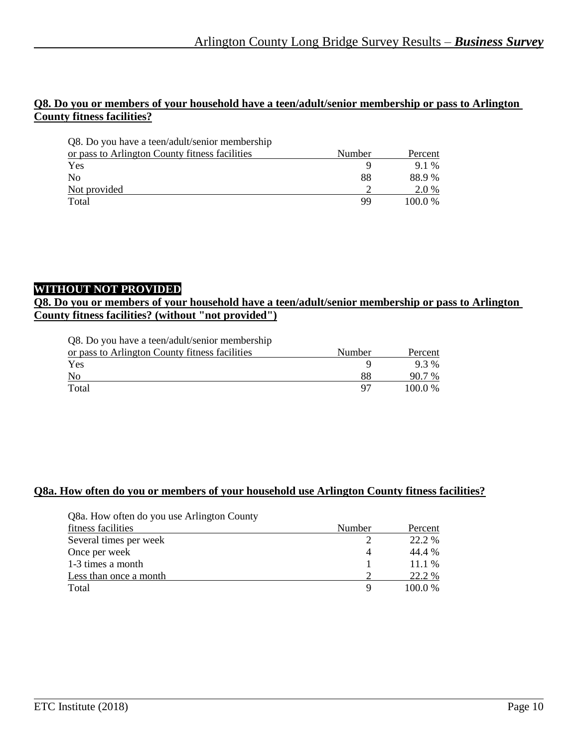## **Q8. Do you or members of your household have a teen/adult/senior membership or pass to Arlington County fitness facilities?**

| Q8. Do you have a teen/adult/senior membership |        |           |
|------------------------------------------------|--------|-----------|
| or pass to Arlington County fitness facilities | Number | Percent   |
| Yes                                            |        | 9.1 %     |
| N <sub>0</sub>                                 | 88     | 88.9%     |
| Not provided                                   |        | 2.0 %     |
| Total                                          | 99     | $100.0\%$ |

# **WITHOUT NOT PROVIDED**

#### **Q8. Do you or members of your household have a teen/adult/senior membership or pass to Arlington County fitness facilities? (without "not provided")**

| Q8. Do you have a teen/adult/senior membership |        |           |
|------------------------------------------------|--------|-----------|
| or pass to Arlington County fitness facilities | Number | Percent   |
| Yes                                            |        | $9.3\%$   |
| No                                             | 88     | 90.7 %    |
| Total                                          | 97     | $100.0\%$ |

#### **Q8a. How often do you or members of your household use Arlington County fitness facilities?**

| Q8a. How often do you use Arlington County |        |         |
|--------------------------------------------|--------|---------|
| fitness facilities                         | Number | Percent |
| Several times per week                     |        | 22.2 %  |
| Once per week                              | 4      | 44.4 %  |
| 1-3 times a month                          |        | 11.1%   |
| Less than once a month                     |        | 22.2 %  |
| Total                                      |        | 100.0 % |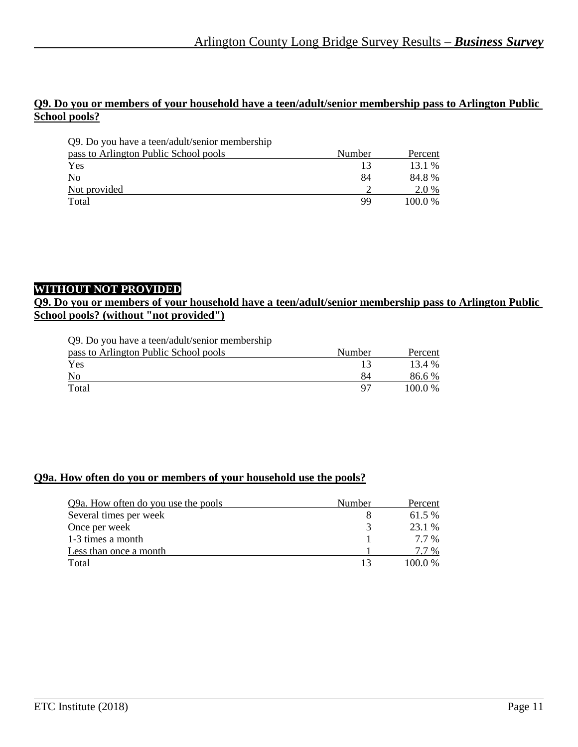#### **Q9. Do you or members of your household have a teen/adult/senior membership pass to Arlington Public School pools?**

| Q9. Do you have a teen/adult/senior membership |        |         |
|------------------------------------------------|--------|---------|
| pass to Arlington Public School pools          | Number | Percent |
| Yes                                            | 13     | 13.1 %  |
| N <sub>0</sub>                                 | 84     | 84.8 %  |
| Not provided                                   |        | 2.0 %   |
| Total                                          | 99     | 100.0 % |

# **WITHOUT NOT PROVIDED**

#### **Q9. Do you or members of your household have a teen/adult/senior membership pass to Arlington Public School pools? (without "not provided")**

| Q9. Do you have a teen/adult/senior membership |        |         |
|------------------------------------------------|--------|---------|
| pass to Arlington Public School pools          | Number | Percent |
| Yes                                            | 13     | 13.4 %  |
| No                                             | 84     | 86.6 %  |
| Total                                          | 97     | 100.0 % |

#### **Q9a. How often do you or members of your household use the pools?**

| Q9a. How often do you use the pools | Number | Percent   |
|-------------------------------------|--------|-----------|
| Several times per week              |        | 61.5 %    |
| Once per week                       |        | 23.1 %    |
| 1-3 times a month                   |        | 7.7 %     |
| Less than once a month              |        | 7.7 %     |
| Total                               |        | $100.0\%$ |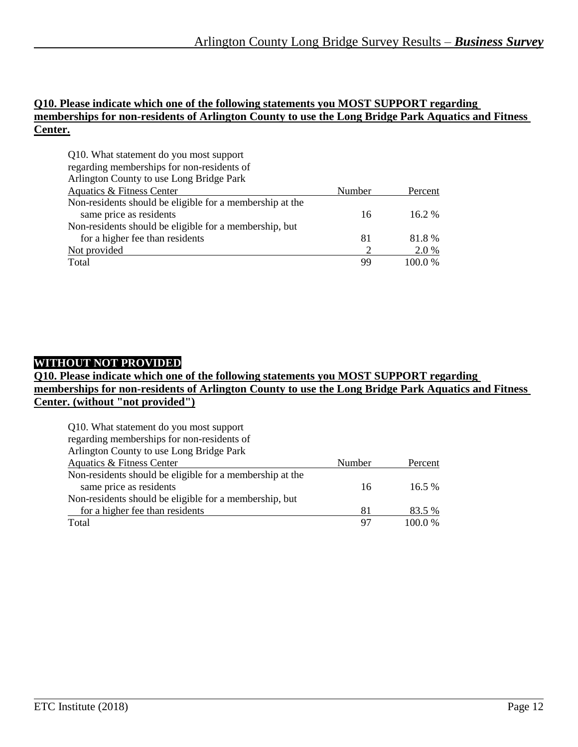### **Q10. Please indicate which one of the following statements you MOST SUPPORT regarding memberships for non-residents of Arlington County to use the Long Bridge Park Aquatics and Fitness Center.**

| Q10. What statement do you most support                  |        |          |
|----------------------------------------------------------|--------|----------|
| regarding memberships for non-residents of               |        |          |
| Arlington County to use Long Bridge Park                 |        |          |
| Aquatics & Fitness Center                                | Number | Percent  |
| Non-residents should be eligible for a membership at the |        |          |
| same price as residents                                  | 16     | $16.2\%$ |
| Non-residents should be eligible for a membership, but   |        |          |
| for a higher fee than residents                          | 81     | 81.8%    |
| Not provided                                             |        | 2.0 %    |
| Total                                                    | 99     | 100.0%   |
|                                                          |        |          |

# **WITHOUT NOT PROVIDED**

#### **Q10. Please indicate which one of the following statements you MOST SUPPORT regarding memberships for non-residents of Arlington County to use the Long Bridge Park Aquatics and Fitness Center. (without "not provided")**

| Q10. What statement do you most support                  |        |          |
|----------------------------------------------------------|--------|----------|
| regarding memberships for non-residents of               |        |          |
| Arlington County to use Long Bridge Park                 |        |          |
| Aquatics & Fitness Center                                | Number | Percent  |
| Non-residents should be eligible for a membership at the |        |          |
| same price as residents                                  | 16     | $16.5\%$ |
| Non-residents should be eligible for a membership, but   |        |          |
| for a higher fee than residents                          | 81     | 83.5 %   |
| Total                                                    | 97     | 100.0%   |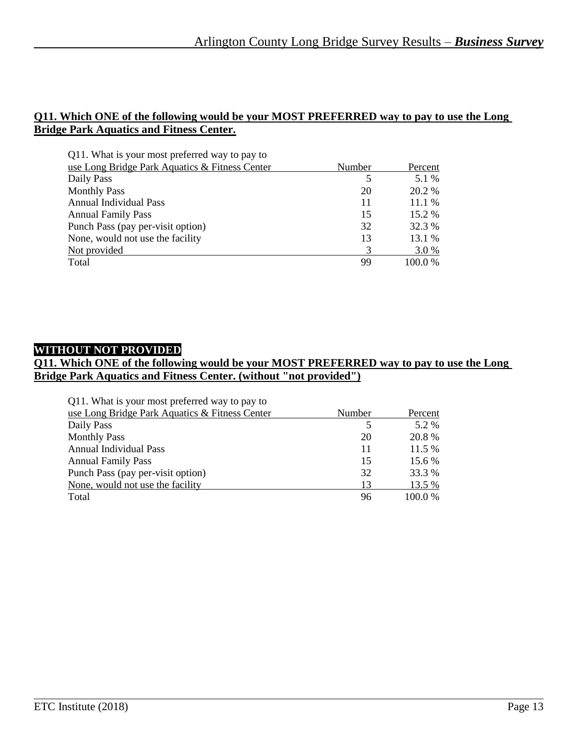## **Q11. Which ONE of the following would be your MOST PREFERRED way to pay to use the Long Bridge Park Aquatics and Fitness Center.**

| Q11. What is your most preferred way to pay to |        |         |
|------------------------------------------------|--------|---------|
| use Long Bridge Park Aquatics & Fitness Center | Number | Percent |
| Daily Pass                                     |        | 5.1 %   |
| <b>Monthly Pass</b>                            | 20     | 20.2 %  |
| <b>Annual Individual Pass</b>                  | 11     | 11.1 %  |
| <b>Annual Family Pass</b>                      | 15     | 15.2 %  |
| Punch Pass (pay per-visit option)              | 32     | 32.3 %  |
| None, would not use the facility               | 13     | 13.1 %  |
| Not provided                                   | 3      | 3.0 %   |
| Total                                          | 99     | 100.0%  |

# **WITHOUT NOT PROVIDED**

#### **Q11. Which ONE of the following would be your MOST PREFERRED way to pay to use the Long Bridge Park Aquatics and Fitness Center. (without "not provided")**

| Q11. What is your most preferred way to pay to |        |         |
|------------------------------------------------|--------|---------|
| use Long Bridge Park Aquatics & Fitness Center | Number | Percent |
| Daily Pass                                     |        | 5.2 %   |
| <b>Monthly Pass</b>                            | 20     | 20.8%   |
| <b>Annual Individual Pass</b>                  | 11     | 11.5 %  |
| <b>Annual Family Pass</b>                      | 15     | 15.6 %  |
| Punch Pass (pay per-visit option)              | 32     | 33.3 %  |
| None, would not use the facility               | 13     | 13.5 %  |
| Total                                          | 96     | 100.0%  |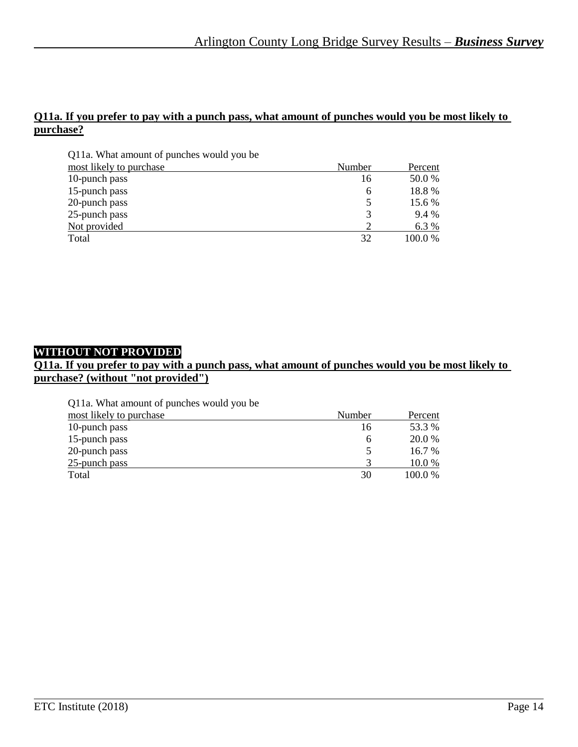#### **Q11a. If you prefer to pay with a punch pass, what amount of punches would you be most likely to purchase?**

| Q11a. What amount of punches would you be |        |         |
|-------------------------------------------|--------|---------|
| most likely to purchase                   | Number | Percent |
| 10-punch pass                             | 16     | 50.0 %  |
| 15-punch pass                             | 6      | 18.8%   |
| 20-punch pass                             | 5      | 15.6 %  |
| 25-punch pass                             | 3      | 9.4 %   |
| Not provided                              |        | 6.3 %   |
| Total                                     | 32     | 100.0 % |

# **WITHOUT NOT PROVIDED**

# **Q11a. If you prefer to pay with a punch pass, what amount of punches would you be most likely to purchase? (without "not provided")**

Q11a. What amount of punches would you be

| most likely to purchase | Number | Percent  |
|-------------------------|--------|----------|
| 10-punch pass           | 16     | 53.3 %   |
| 15-punch pass           | h      | 20.0 %   |
| 20-punch pass           |        | $16.7\%$ |
| $25$ -punch pass        |        | 10.0 %   |
| Total                   | 30     | 100.0 %  |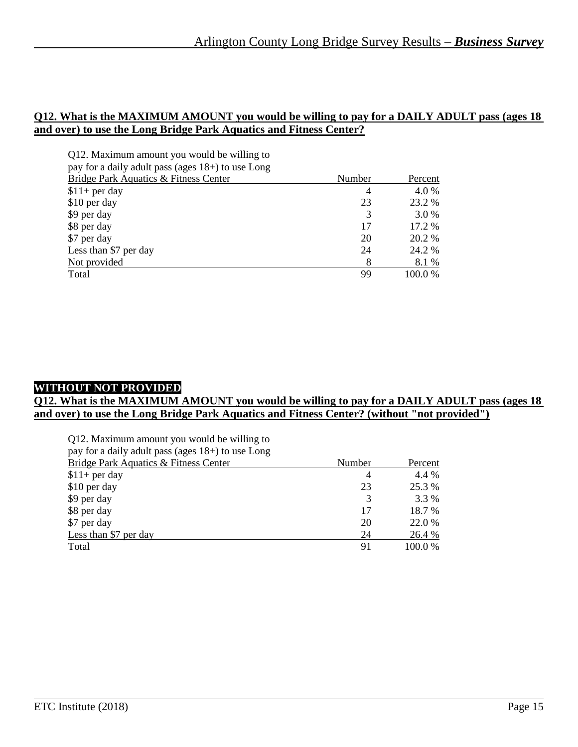#### **Q12. What is the MAXIMUM AMOUNT you would be willing to pay for a DAILY ADULT pass (ages 18 and over) to use the Long Bridge Park Aquatics and Fitness Center?**

| Q12. Maximum amount you would be willing to       |        |         |
|---------------------------------------------------|--------|---------|
| pay for a daily adult pass (ages 18+) to use Long |        |         |
| Bridge Park Aquatics & Fitness Center             | Number | Percent |
| $$11+$ per day                                    | 4      | 4.0 %   |
| \$10 per day                                      | 23     | 23.2 %  |
| \$9 per day                                       | 3      | 3.0%    |
| \$8 per day                                       | 17     | 17.2 %  |
| \$7 per day                                       | 20     | 20.2 %  |
| Less than \$7 per day                             | 24     | 24.2 %  |
| Not provided                                      | 8      | 8.1 %   |
| Total                                             | 99     | 100.0%  |

#### **WITHOUT NOT PROVIDED**

#### **Q12. What is the MAXIMUM AMOUNT you would be willing to pay for a DAILY ADULT pass (ages 18 and over) to use the Long Bridge Park Aquatics and Fitness Center? (without "not provided")**

| Q12. Maximum amount you would be willing to<br>pay for a daily adult pass (ages 18+) to use Long |        |         |
|--------------------------------------------------------------------------------------------------|--------|---------|
| Bridge Park Aquatics & Fitness Center                                                            | Number | Percent |
| $$11+$ per day                                                                                   | 4      | 4.4 %   |
| \$10 per day                                                                                     | 23     | 25.3 %  |
| \$9 per day                                                                                      | 3      | 3.3 %   |
| \$8 per day                                                                                      | 17     | 18.7 %  |
| \$7 per day                                                                                      | 20     | 22.0 %  |
| Less than \$7 per day                                                                            | 24     | 26.4 %  |
| Total                                                                                            | 91     | 100.0%  |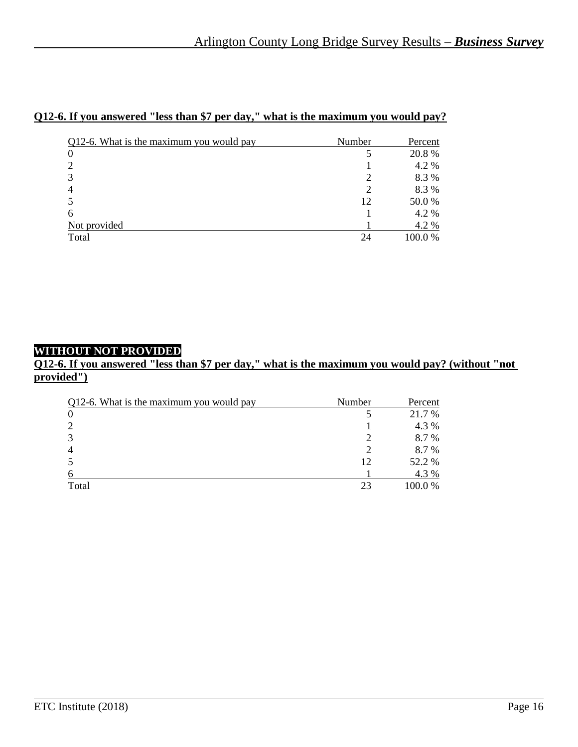| Q12-6. What is the maximum you would pay | Number | Percent |
|------------------------------------------|--------|---------|
| 0                                        |        | 20.8%   |
| 2                                        |        | 4.2 %   |
| 3                                        | 2      | 8.3%    |
| 4                                        | 2      | 8.3%    |
| 5                                        | 12     | 50.0%   |
| 6                                        |        | 4.2 %   |
| Not provided                             |        | 4.2 %   |
| Total                                    | 24     | 100.0 % |

# **Q12-6. If you answered "less than \$7 per day," what is the maximum you would pay?**

# **WITHOUT NOT PROVIDED**

**Q12-6. If you answered "less than \$7 per day," what is the maximum you would pay? (without "not provided")**

| Q12-6. What is the maximum you would pay | Number | Percent |
|------------------------------------------|--------|---------|
| $\theta$                                 |        | 21.7 %  |
|                                          |        | 4.3 %   |
| 3                                        |        | 8.7%    |
|                                          |        | 8.7%    |
|                                          | 12     | 52.2 %  |
|                                          |        | 4.3 %   |
| Total                                    | 23     | 100.0 % |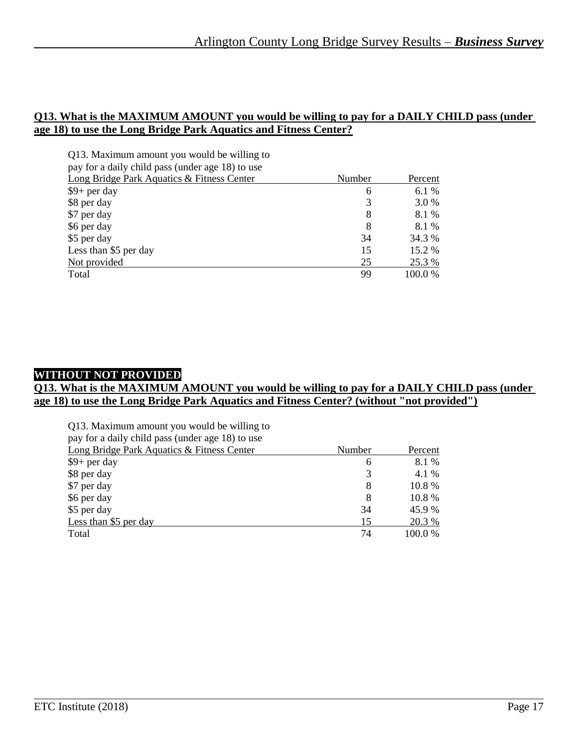### **Q13. What is the MAXIMUM AMOUNT you would be willing to pay for a DAILY CHILD pass (under age 18) to use the Long Bridge Park Aquatics and Fitness Center?**

| Q13. Maximum amount you would be willing to      |        |          |
|--------------------------------------------------|--------|----------|
| pay for a daily child pass (under age 18) to use |        |          |
| Long Bridge Park Aquatics & Fitness Center       | Number | Percent  |
| $$9+$ per day                                    | 6      | 6.1 %    |
| \$8 per day                                      | 3      | 3.0 %    |
| \$7 per day                                      | 8      | 8.1 %    |
| \$6 per day                                      | 8      | 8.1 %    |
| \$5 per day                                      | 34     | 34.3 %   |
| Less than \$5 per day                            | 15     | $15.2\%$ |
| Not provided                                     | 25     | 25.3 %   |
| Total                                            | 99     | 100.0 %  |

# **WITHOUT NOT PROVIDED**

#### **Q13. What is the MAXIMUM AMOUNT you would be willing to pay for a DAILY CHILD pass (under age 18) to use the Long Bridge Park Aquatics and Fitness Center? (without "not provided")**

Q13. Maximum amount you would be willing to

|  |  |  |  |  | pay for a daily child pass (under age 18) to use |  |  |  |  |
|--|--|--|--|--|--------------------------------------------------|--|--|--|--|
|--|--|--|--|--|--------------------------------------------------|--|--|--|--|

| Long Bridge Park Aquatics & Fitness Center | Number | Percent |
|--------------------------------------------|--------|---------|
| $$9+$ per day                              | 6      | 8.1 %   |
| \$8 per day                                | 3      | 4.1 %   |
| \$7 per day                                | 8      | 10.8 %  |
| \$6 per day                                | 8      | 10.8 %  |
| \$5 per day                                | 34     | 45.9%   |
| Less than \$5 per day                      | 15     | 20.3 %  |
| Total                                      | 74     | 100.0%  |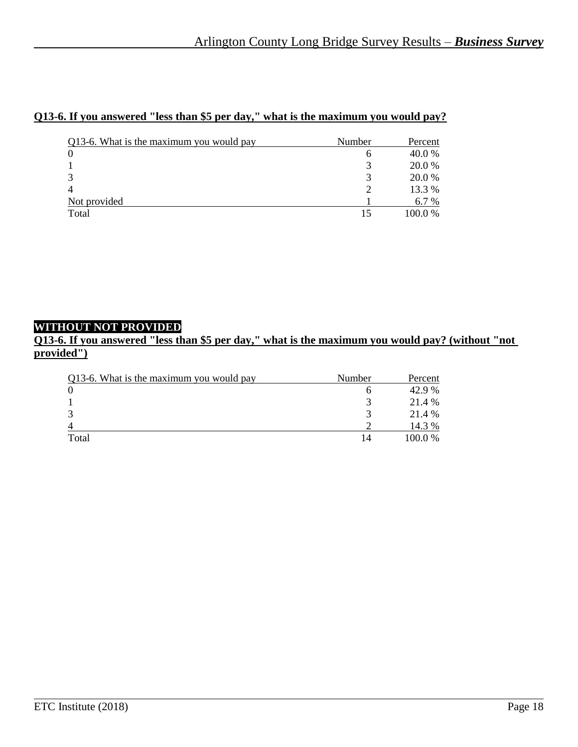# **Q13-6. If you answered "less than \$5 per day," what is the maximum you would pay?**

| Q13-6. What is the maximum you would pay | Number | Percent |
|------------------------------------------|--------|---------|
| $\Omega$                                 | O      | 40.0 %  |
|                                          |        | 20.0 %  |
| $\mathcal{R}$                            |        | 20.0 %  |
|                                          |        | 13.3 %  |
| Not provided                             |        | 6.7 %   |
| Total                                    |        | 100.0%  |

#### **WITHOUT NOT PROVIDED**

**Q13-6. If you answered "less than \$5 per day," what is the maximum you would pay? (without "not provided")**

| Q13-6. What is the maximum you would pay | Number | Percent |
|------------------------------------------|--------|---------|
|                                          | n      | 42.9 %  |
|                                          |        | 21.4 %  |
|                                          |        | 21.4 %  |
|                                          |        | 14.3 %  |
| Total                                    | 14     | 100.0 % |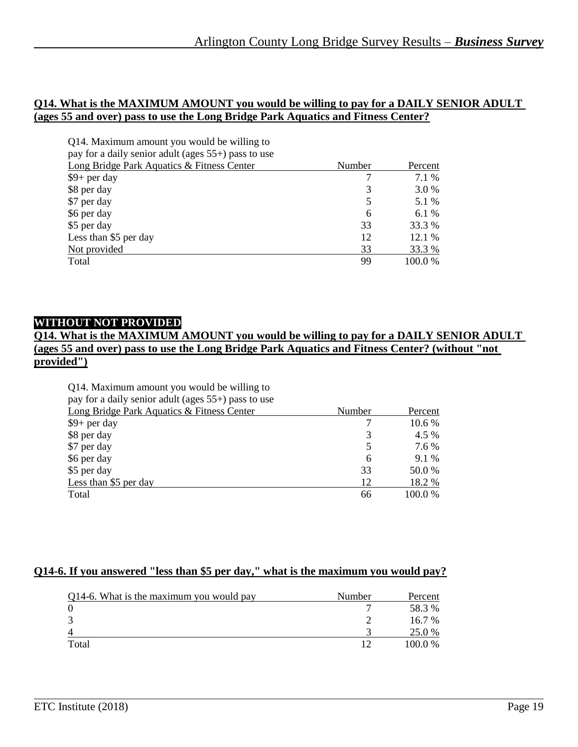#### **Q14. What is the MAXIMUM AMOUNT you would be willing to pay for a DAILY SENIOR ADULT (ages 55 and over) pass to use the Long Bridge Park Aquatics and Fitness Center?**

| Q14. Maximum amount you would be willing to            |        |         |
|--------------------------------------------------------|--------|---------|
| pay for a daily senior adult (ages $55+$ ) pass to use |        |         |
| Long Bridge Park Aquatics & Fitness Center             | Number | Percent |
| $$9+$ per day                                          |        | 7.1 %   |
| \$8 per day                                            | 3      | 3.0 %   |
| \$7 per day                                            | 5      | 5.1 %   |
| \$6 per day                                            | 6      | 6.1 %   |
| \$5 per day                                            | 33     | 33.3 %  |
| Less than \$5 per day                                  | 12     | 12.1 %  |
| Not provided                                           | 33     | 33.3 %  |
| Total                                                  | 99     | 100.0%  |

# **WITHOUT NOT PROVIDED**

#### **Q14. What is the MAXIMUM AMOUNT you would be willing to pay for a DAILY SENIOR ADULT (ages 55 and over) pass to use the Long Bridge Park Aquatics and Fitness Center? (without "not provided")**

#### Q14. Maximum amount you would be willing to

| pay for a daily senior adult (ages 55+) pass to use |  |  |
|-----------------------------------------------------|--|--|
|-----------------------------------------------------|--|--|

| Long Bridge Park Aquatics & Fitness Center | Number | Percent |
|--------------------------------------------|--------|---------|
| \$9+ per day                               |        | 10.6 %  |
| \$8 per day                                | 3      | 4.5 %   |
| \$7 per day                                | 5      | 7.6 %   |
| \$6 per day                                | 6      | 9.1%    |
| \$5 per day                                | 33     | 50.0 %  |
| Less than \$5 per day                      | 12     | 18.2 %  |
| Total                                      | 66     | 100.0%  |
|                                            |        |         |

#### **Q14-6. If you answered "less than \$5 per day," what is the maximum you would pay?**

| Q14-6. What is the maximum you would pay | Number | Percent   |
|------------------------------------------|--------|-----------|
|                                          |        | 58.3 %    |
|                                          |        | $16.7\%$  |
|                                          |        | 25.0 %    |
| Total                                    |        | $100.0\%$ |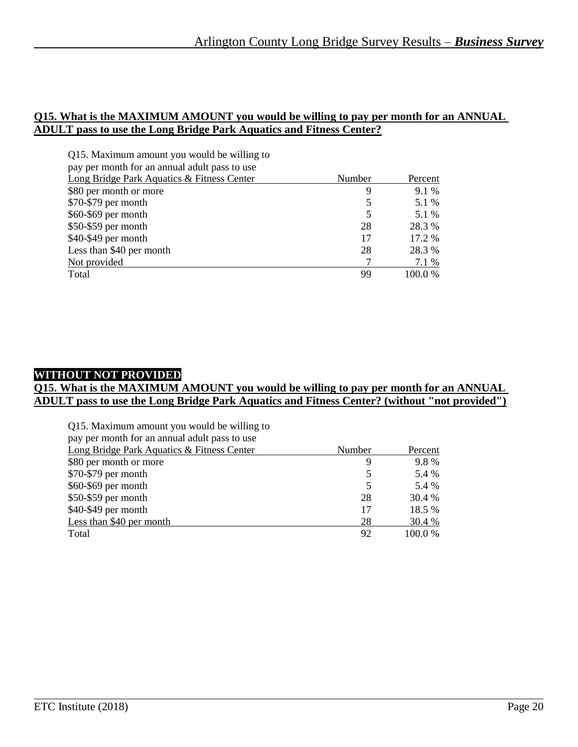## **Q15. What is the MAXIMUM AMOUNT you would be willing to pay per month for an ANNUAL ADULT pass to use the Long Bridge Park Aquatics and Fitness Center?**

| Q15. Maximum amount you would be willing to   |        |         |
|-----------------------------------------------|--------|---------|
| pay per month for an annual adult pass to use |        |         |
| Long Bridge Park Aquatics & Fitness Center    | Number | Percent |
| \$80 per month or more                        | 9      | 9.1 %   |
| \$70-\$79 per month                           | 5      | 5.1 %   |
| \$60-\$69 per month                           | 5      | 5.1 %   |
| $$50-$59$ per month                           | 28     | 28.3 %  |
| \$40-\$49 per month                           | 17     | 17.2 %  |
| Less than \$40 per month                      | 28     | 28.3 %  |
| Not provided                                  |        | 7.1 %   |
| Total                                         | 99     | 100.0%  |

## **WITHOUT NOT PROVIDED**

#### **Q15. What is the MAXIMUM AMOUNT you would be willing to pay per month for an ANNUAL ADULT pass to use the Long Bridge Park Aquatics and Fitness Center? (without "not provided")**

| Q15. Maximum amount you would be willing to<br>pay per month for an annual adult pass to use |        |         |
|----------------------------------------------------------------------------------------------|--------|---------|
| Long Bridge Park Aquatics & Fitness Center                                                   | Number | Percent |
| \$80 per month or more                                                                       | 9      | 9.8%    |
| \$70-\$79 per month                                                                          | 5      | 5.4 %   |
| \$60-\$69 per month                                                                          | 5      | 5.4 %   |
| \$50-\$59 per month                                                                          | 28     | 30.4 %  |
| \$40-\$49 per month                                                                          | 17     | 18.5 %  |
| Less than \$40 per month                                                                     | 28     | 30.4 %  |
| Total                                                                                        | 92     | 100.0 % |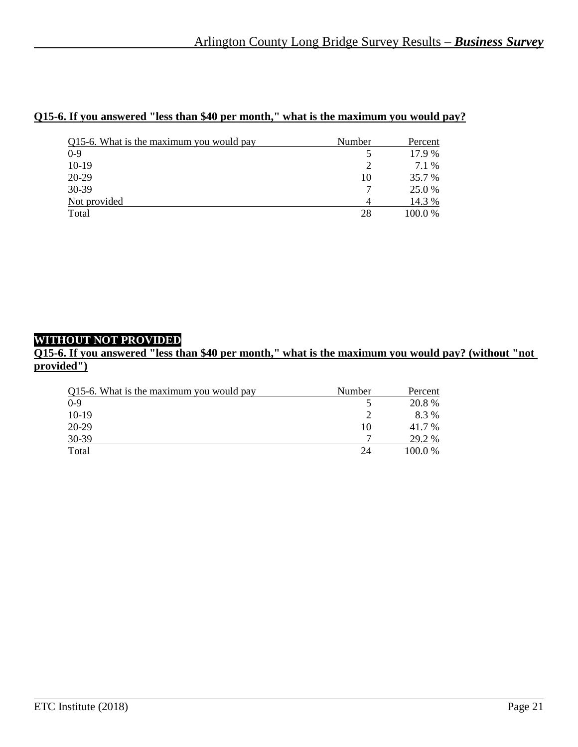# **Q15-6. If you answered "less than \$40 per month," what is the maximum you would pay?**

| Q15-6. What is the maximum you would pay | Number | Percent |
|------------------------------------------|--------|---------|
| $0 - 9$                                  |        | 17.9 %  |
| $10-19$                                  |        | 7.1 %   |
| 20-29                                    | 10     | 35.7 %  |
| $30 - 39$                                |        | 25.0 %  |
| Not provided                             |        | 14.3 %  |
| Total                                    | 28     | 100.0 % |

# **WITHOUT NOT PROVIDED**

**Q15-6. If you answered "less than \$40 per month," what is the maximum you would pay? (without "not provided")**

| Q15-6. What is the maximum you would pay | Number | Percent |
|------------------------------------------|--------|---------|
| $0 - 9$                                  |        | 20.8 %  |
| $10-19$                                  |        | 8.3 %   |
| 20-29                                    | 10     | 41.7 %  |
| 30-39                                    |        | 29.2 %  |
| Total                                    | 24     | 100.0 % |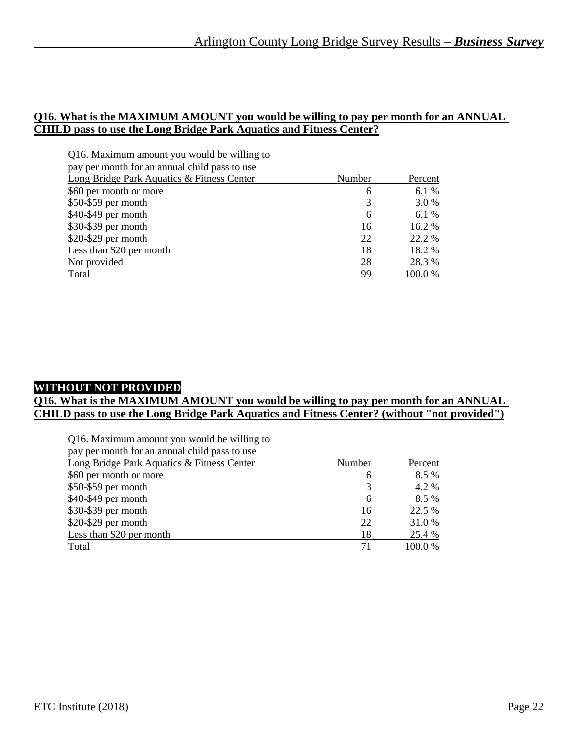## **Q16. What is the MAXIMUM AMOUNT you would be willing to pay per month for an ANNUAL CHILD pass to use the Long Bridge Park Aquatics and Fitness Center?**

| Q16. Maximum amount you would be willing to   |        |         |
|-----------------------------------------------|--------|---------|
| pay per month for an annual child pass to use |        |         |
| Long Bridge Park Aquatics & Fitness Center    | Number | Percent |
| \$60 per month or more                        | 6      | 6.1 %   |
| $$50-$59$ per month                           | 3      | 3.0 %   |
| \$40-\$49 per month                           | 6      | 6.1 %   |
| \$30-\$39 per month                           | 16     | 16.2 %  |
| \$20-\$29 per month                           | 22     | 22.2 %  |
| Less than \$20 per month                      | 18     | 18.2 %  |
| Not provided                                  | 28     | 28.3 %  |
| Total                                         | 99     | 100.0%  |

#### **WITHOUT NOT PROVIDED**

**Q16. What is the MAXIMUM AMOUNT you would be willing to pay per month for an ANNUAL CHILD pass to use the Long Bridge Park Aquatics and Fitness Center? (without "not provided")**

| Q16. Maximum amount you would be willing to<br>pay per month for an annual child pass to use |        |         |
|----------------------------------------------------------------------------------------------|--------|---------|
| Long Bridge Park Aquatics & Fitness Center                                                   | Number | Percent |
| \$60 per month or more                                                                       | 6      | 8.5 %   |
| \$50-\$59 per month                                                                          | 3      | 4.2 %   |
| \$40-\$49 per month                                                                          | 6      | 8.5 %   |
| \$30-\$39 per month                                                                          | 16     | 22.5 %  |
| \$20-\$29 per month                                                                          | 22     | 31.0%   |
| Less than \$20 per month                                                                     | 18     | 25.4 %  |
| Total                                                                                        | 71     | 100.0 % |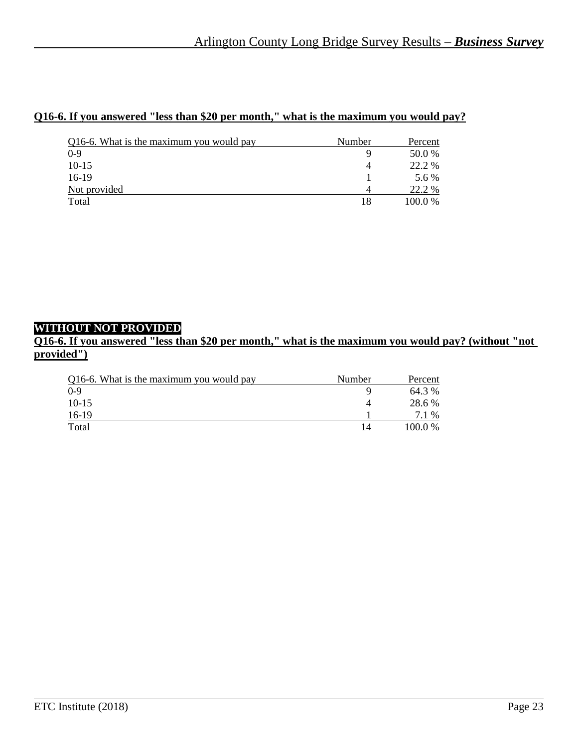# **Q16-6. If you answered "less than \$20 per month," what is the maximum you would pay?**

| Q16-6. What is the maximum you would pay | Number | Percent |
|------------------------------------------|--------|---------|
| $0-9$                                    |        | 50.0 %  |
| $10-15$                                  | 4      | 22.2 %  |
| $16-19$                                  |        | 5.6 %   |
| Not provided                             |        | 22.2 %  |
| Total                                    | 18     | 100.0 % |

# **WITHOUT NOT PROVIDED**

## **Q16-6. If you answered "less than \$20 per month," what is the maximum you would pay? (without "not provided")**

| Q16-6. What is the maximum you would pay | Number | Percent   |
|------------------------------------------|--------|-----------|
| $0 - 9$                                  | Q      | 64.3 %    |
| $10-15$                                  |        | 28.6 %    |
| $16-19$                                  |        | 7.1 %     |
| Total                                    | 14     | $100.0\%$ |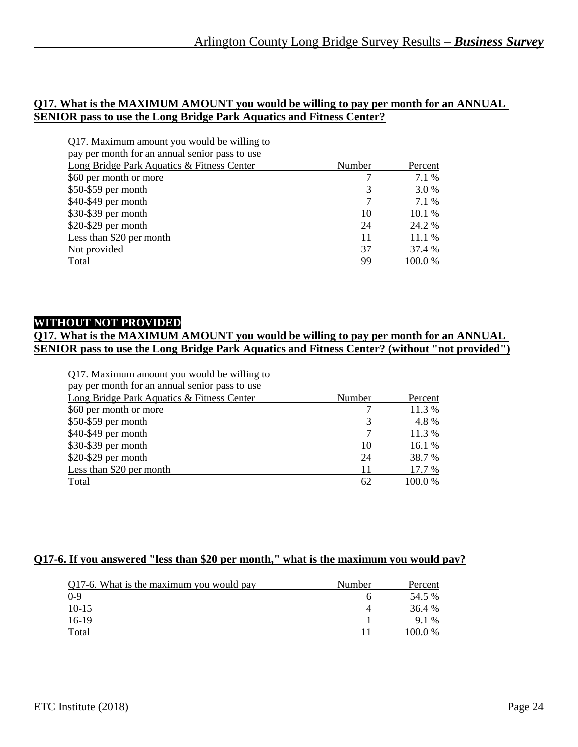#### **Q17. What is the MAXIMUM AMOUNT you would be willing to pay per month for an ANNUAL SENIOR pass to use the Long Bridge Park Aquatics and Fitness Center?**

| Q17. Maximum amount you would be willing to    |        |         |
|------------------------------------------------|--------|---------|
| pay per month for an annual senior pass to use |        |         |
| Long Bridge Park Aquatics & Fitness Center     | Number | Percent |
| \$60 per month or more                         |        | 7.1 %   |
| \$50-\$59 per month                            | 3      | 3.0 %   |
| \$40-\$49 per month                            | 7      | 7.1 %   |
| \$30-\$39 per month                            | 10     | 10.1 %  |
| \$20-\$29 per month                            | 24     | 24.2 %  |
| Less than \$20 per month                       | 11     | 11.1 %  |
| Not provided                                   | 37     | 37.4 %  |
| Total                                          | 99     | 100.0 % |

#### **WITHOUT NOT PROVIDED**

#### **Q17. What is the MAXIMUM AMOUNT you would be willing to pay per month for an ANNUAL SENIOR pass to use the Long Bridge Park Aquatics and Fitness Center? (without "not provided")**

| Q17. Maximum amount you would be willing to    |        |         |
|------------------------------------------------|--------|---------|
| pay per month for an annual senior pass to use |        |         |
| Long Bridge Park Aquatics & Fitness Center     | Number | Percent |
| \$60 per month or more                         | 7      | 11.3 %  |
| \$50-\$59 per month                            | 3      | 4.8%    |
| \$40-\$49 per month                            |        | 11.3 %  |
| \$30-\$39 per month                            | 10     | 16.1 %  |
| \$20-\$29 per month                            | 24     | 38.7 %  |
| Less than \$20 per month                       | 11     | 17.7 %  |
| Total                                          | 62     | 100.0%  |

#### **Q17-6. If you answered "less than \$20 per month," what is the maximum you would pay?**

| Q17-6. What is the maximum you would pay | Number | Percent |
|------------------------------------------|--------|---------|
| $0-9$                                    |        | 54.5 %  |
| $10-15$                                  |        | 36.4 %  |
| $16-19$                                  |        | 9.1 %   |
| Total                                    |        | 100.0%  |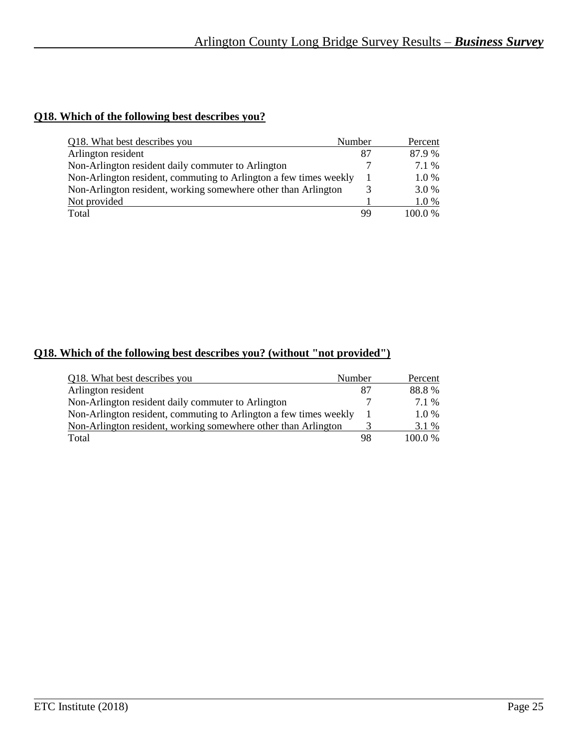# **Q18. Which of the following best describes you?**

| Q18. What best describes you<br>Number                            |    | Percent |
|-------------------------------------------------------------------|----|---------|
| Arlington resident                                                | 87 | 87.9 %  |
| Non-Arlington resident daily commuter to Arlington                |    | 7.1 %   |
| Non-Arlington resident, commuting to Arlington a few times weekly |    | 1.0 %   |
| Non-Arlington resident, working somewhere other than Arlington    |    | 3.0 %   |
| Not provided                                                      |    | 1.0 %   |
| Total                                                             | 99 | 100.0%  |

## **Q18. Which of the following best describes you? (without "not provided")**

| Q18. What best describes you                                      | Number | Percent   |
|-------------------------------------------------------------------|--------|-----------|
| Arlington resident                                                | 87     | 88.8%     |
| Non-Arlington resident daily commuter to Arlington                |        | 7.1 %     |
| Non-Arlington resident, commuting to Arlington a few times weekly |        | $1.0\%$   |
| Non-Arlington resident, working somewhere other than Arlington    |        | 3.1 %     |
| Total                                                             | 98     | $100.0\%$ |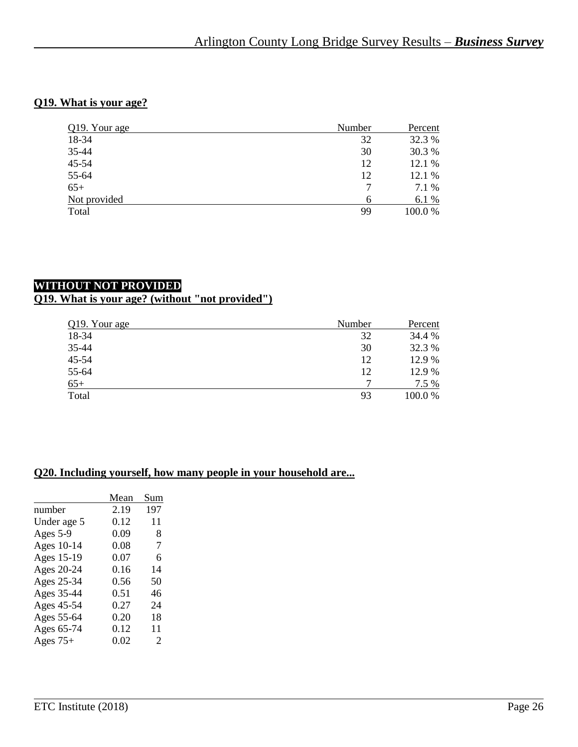#### **Q19. What is your age?**

| Q19. Your age | Number | Percent |
|---------------|--------|---------|
| 18-34         | 32     | 32.3 %  |
| 35-44         | 30     | 30.3 %  |
| 45-54         | 12     | 12.1 %  |
| 55-64         | 12     | 12.1 %  |
| $65+$         | 7      | 7.1 %   |
| Not provided  | 6      | 6.1 %   |
| Total         | 99     | 100.0%  |
|               |        |         |

# **WITHOUT NOT PROVIDED**

**Q19. What is your age? (without "not provided")**

| Q19. Your age | Number | Percent |
|---------------|--------|---------|
| 18-34         | 32     | 34.4 %  |
| 35-44         | 30     | 32.3 %  |
| 45-54         | 12     | 12.9 %  |
| 55-64         | 12     | 12.9 %  |
| $65+$         |        | 7.5 %   |
| Total         | 93     | 100.0 % |

#### **Q20. Including yourself, how many people in your household are...**

|             | Mean | Sum |
|-------------|------|-----|
| number      | 2.19 | 197 |
| Under age 5 | 0.12 | 11  |
| Ages 5-9    | 0.09 | 8   |
| Ages 10-14  | 0.08 | 7   |
| Ages 15-19  | 0.07 | 6   |
| Ages 20-24  | 0.16 | 14  |
| Ages 25-34  | 0.56 | 50  |
| Ages 35-44  | 0.51 | 46  |
| Ages 45-54  | 0.27 | 24  |
| Ages 55-64  | 0.20 | 18  |
| Ages 65-74  | 0.12 | 11  |
| Ages $75+$  | 0.02 | 2   |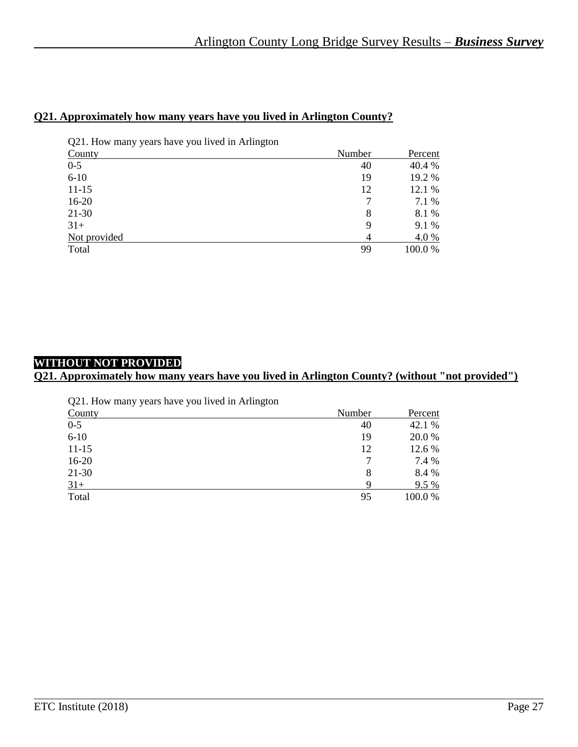#### **Q21. Approximately how many years have you lived in Arlington County?**

| Q21. How many years have you lived in Arlington |        |         |
|-------------------------------------------------|--------|---------|
| County                                          | Number | Percent |
| $0 - 5$                                         | 40     | 40.4 %  |
| $6 - 10$                                        | 19     | 19.2 %  |
| $11-15$                                         | 12     | 12.1 %  |
| $16-20$                                         | 7      | 7.1 %   |
| 21-30                                           | 8      | 8.1 %   |
| $31+$                                           | 9      | 9.1 %   |
| Not provided                                    | 4      | 4.0 %   |
| Total                                           | 99     | 100.0%  |

# **WITHOUT NOT PROVIDED**

# **Q21. Approximately how many years have you lived in Arlington County? (without "not provided")**

| Q21. How many years have you lived in Arlington |        |         |
|-------------------------------------------------|--------|---------|
| County                                          | Number | Percent |
| $0 - 5$                                         | 40     | 42.1 %  |
| $6 - 10$                                        | 19     | 20.0%   |
| $11 - 15$                                       | 12     | 12.6 %  |
| $16-20$                                         |        | 7.4 %   |
| $21 - 30$                                       | 8      | 8.4 %   |
| $31+$                                           | Q      | 9.5 %   |
| Total                                           | 95     | 100.0%  |
|                                                 |        |         |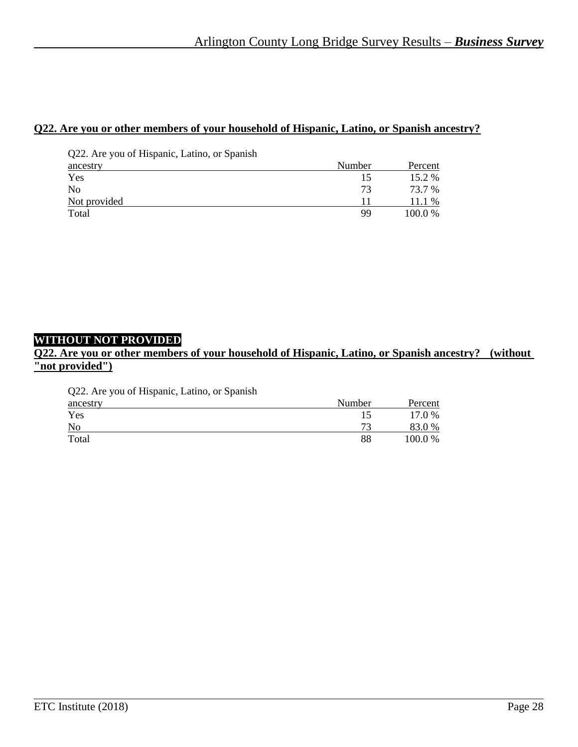# **Q22. Are you or other members of your household of Hispanic, Latino, or Spanish ancestry?**

| Q22. Are you of Hispanic, Latino, or Spanish |        |         |
|----------------------------------------------|--------|---------|
| ancestry                                     | Number | Percent |
| Yes                                          | 15     | 15.2 %  |
| N <sub>0</sub>                               | 73     | 73.7 %  |
| Not provided                                 |        | 11.1 %  |
| Total                                        | 99     | 100.0 % |

# **WITHOUT NOT PROVIDED**

#### **Q22. Are you or other members of your household of Hispanic, Latino, or Spanish ancestry? (without "not provided")**

Q22. Are you of Hispanic, Latino, or Spanish

| ancestry | Number | Percent |
|----------|--------|---------|
| Yes      |        | 17.0 %  |
| No       | 72     | 83.0%   |
| Total    | 88     | 100.0%  |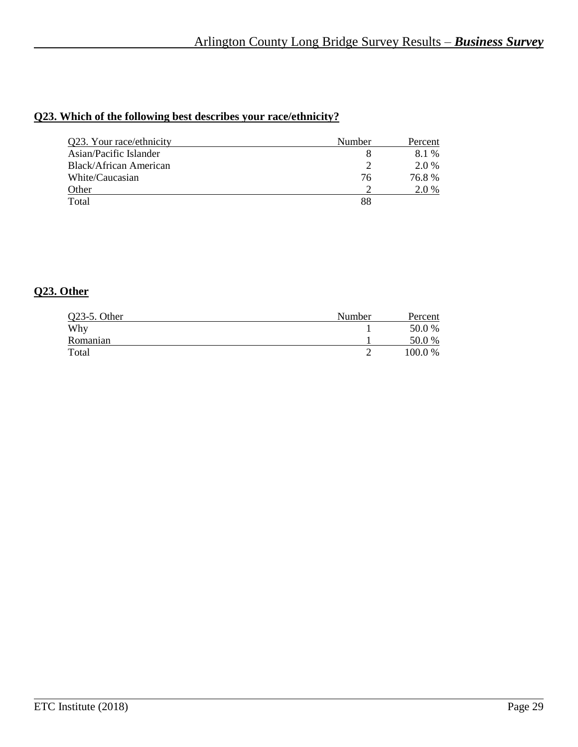# **Q23. Which of the following best describes your race/ethnicity?**

| Number | Percent |
|--------|---------|
|        | 8.1 %   |
|        | 2.0 %   |
| 76     | 76.8 %  |
|        | 2.0 %   |
| 88     |         |
|        |         |

## **Q23. Other**

| $Q23-5.$ Other | Number | Percent |
|----------------|--------|---------|
| Why            |        | 50.0 %  |
| Romanian       |        | 50.0 %  |
| Total          |        | 100.0 % |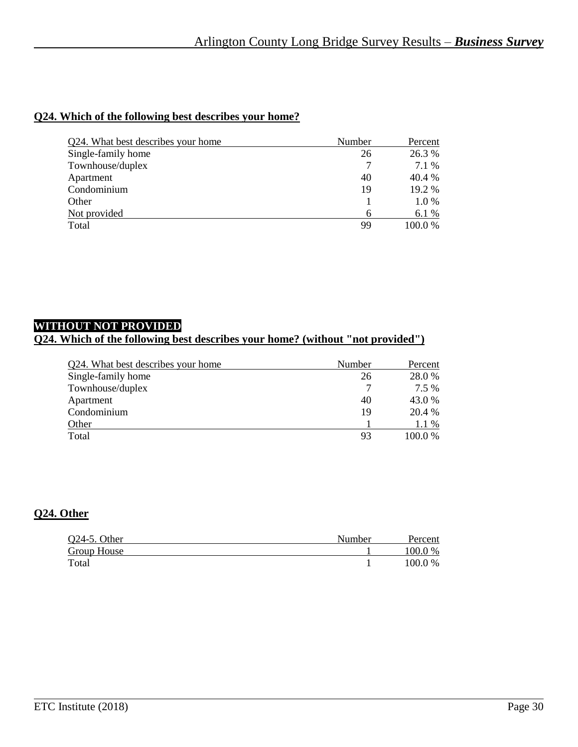# **Q24. Which of the following best describes your home?**

| Q24. What best describes your home | Number | Percent |
|------------------------------------|--------|---------|
| Single-family home                 | 26     | 26.3 %  |
| Townhouse/duplex                   |        | 7.1 %   |
| Apartment                          | 40     | 40.4 %  |
| Condominium                        | 19     | 19.2 %  |
| Other                              |        | 1.0 %   |
| Not provided                       | 6      | 6.1 %   |
| Total                              | 99     | 100.0 % |

# **WITHOUT NOT PROVIDED**

# **Q24. Which of the following best describes your home? (without "not provided")**

| Q24. What best describes your home | Number | Percent |
|------------------------------------|--------|---------|
| Single-family home                 | 26     | 28.0%   |
| Townhouse/duplex                   |        | 7.5 %   |
| Apartment                          | 40     | 43.0 %  |
| Condominium                        | 19     | 20.4 %  |
| Other                              |        | $1.1\%$ |
| Total                              | 93     | 100.0%  |

# **Q24. Other**

| Q24-5. Other | Number | Percent |
|--------------|--------|---------|
| Group House  |        | 100.0 % |
| Total        |        | 100.0 % |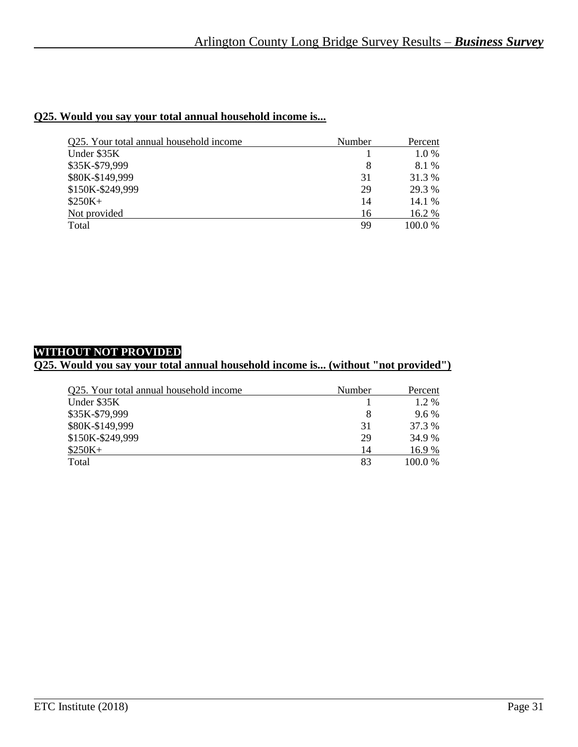# **Q25. Would you say your total annual household income is...**

| Q25. Your total annual household income | Number | Percent |
|-----------------------------------------|--------|---------|
| Under \$35K                             |        | $1.0\%$ |
| \$35K-\$79,999                          | 8      | 8.1 %   |
| \$80K-\$149,999                         | 31     | 31.3 %  |
| \$150K-\$249,999                        | 29     | 29.3 %  |
| $$250K+$                                | 14     | 14.1 %  |
| Not provided                            | 16     | 16.2 %  |
| Total                                   | 99     | 100.0%  |

## **WITHOUT NOT PROVIDED**

#### **Q25. Would you say your total annual household income is... (without "not provided")**

| Q25. Your total annual household income | Number | Percent |
|-----------------------------------------|--------|---------|
| Under \$35K                             |        | 1.2 %   |
| \$35K-\$79,999                          | 8      | $9.6\%$ |
| \$80K-\$149,999                         | 31     | 37.3 %  |
| \$150K-\$249,999                        | 29     | 34.9 %  |
| $$250K+$                                | 14     | 16.9%   |
| Total                                   | 83     | 100.0 % |